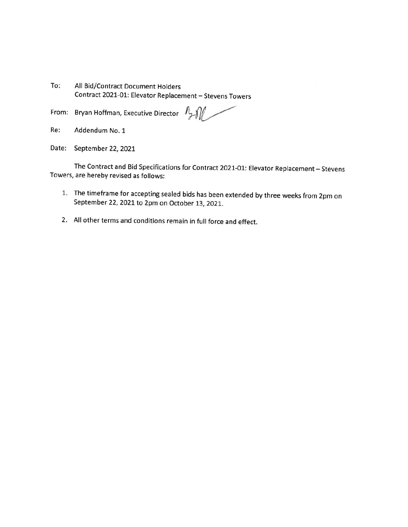To: All Bid/Contract Document Holders Contract 2021-01: Elevator Replacement - Stevens Towers

From: Bryan Hoffman, Executive Director  $\mathbb{Z}$ 

- Re: Addendum No. 1
- Date: September 22, 2021

The Contract and Bid Specifications for Contract 2021-01: Elevator Replacement - Stevens Towers, are hereby revised as follows:

- 1. The timeframe for accepting sealed bids has been extended by three weeks from 2pm on September 22, 2021 to 2pm on October 13, 2021.
- 2. All other terms and conditions remain in full force and effect.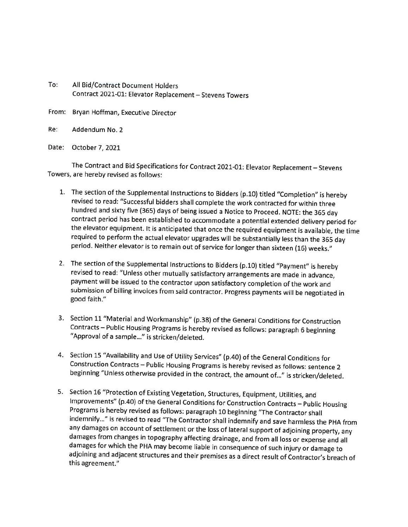- To: All Bid/Contract Document Holders Contract 2021-01: Elevator Replacement - Stevens Towers
- From: Bryan Hoffman, Executive Director
- Re: Addendum No. 2
- Date: October 7, 2021

The Contract and Bid Specifications for Contract 2021-01: Elevator Replacement - Stevens Towers, are hereby revised as follows:

- 1. The section of the Supplemental Instructions to Bidders (p.10) titled "Completion" is hereby revised to read: "Successful bidders shall complete the work contracted for within three hundred and sixty five (365) days of being issued a Notice to Proceed. NOTE: the 365 day contract period has been established to accommodate a potential extended delivery period for the elevator equipment. It is anticipated that once the required equipment is available, the time required to perform the actual elevator upgrades will be substantially less than the 365 day period. Neither elevator is to remain out of service for longer than sixteen (16) weeks."
- 2. The section of the Supplemental Instructions to Bidders (p.10) titled "Payment" is hereby revised to read: "Unless other mutually satisfactory arrangements are made in advance, payment will be issued to the contractor upon satisfactory completion of the work and submission of billing invoices from said contractor. Progress payments will be negotiated in good faith."
- 3. Section 11 "Material and Workmanship" (p.38) of the General Conditions for Construction Contracts - Public Housing Programs is hereby revised as follows: paragraph 6 beginning "Approval of a sample..." is stricken/deleted.
- 4. Section 15 "Availability and Use of Utility Services" (p.40) of the General Conditions for Construction Contracts - Public Housing Programs is hereby revised as follows: sentence 2 beginning "Unless otherwise provided in the contract, the amount of..." is stricken/deleted.
- 5. Section 16 "Protection of Existing Vegetation, Structures, Equipment, Utilities, and Improvements" (p.40) of the General Conditions for Construction Contracts - Public Housing Programs is hereby revised as follows: paragraph 10 beginning "The Contractor shall indemnify..." is revised to read "The Contractor shall indemnify and save harmless the PHA from any damages on account of settlement or the loss of lateral support of adjoining property, any damages from changes in topography affecting drainage, and from all loss or expense and all damages for which the PHA may become liable in consequence of such injury or damage to adjoining and adjacent structures and their premises as a direct result of Contractor's breach of this agreement."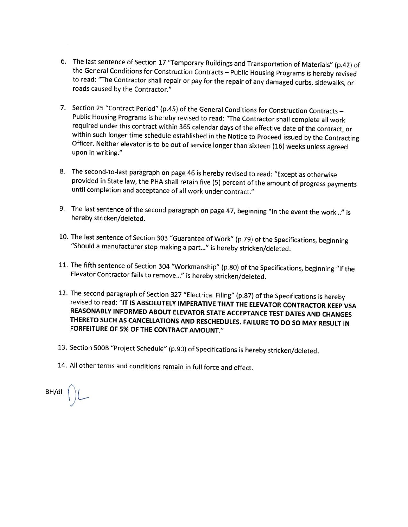- 6. The last sentence of Section 17 "Temporary Buildings and Transportation of Materials" (p.42) of the General Conditions for Construction Contracts - Public Housing Programs is hereby revised to read: "The Contractor shall repair or pay for the repair of any damaged curbs, sidewalks, or roads caused by the Contractor."
- 7. Section 25 "Contract Period" (p.45) of the General Conditions for Construction Contracts -Public Housing Programs is hereby revised to read: "The Contractor shall complete all work required under this contract within 365 calendar days of the effective date of the contract, or within such longer time schedule established in the Notice to Proceed issued by the Contracting Officer. Neither elevator is to be out of service longer than sixteen (16) weeks unless agreed upon in writing."
- 8. The second-to-last paragraph on page 46 is hereby revised to read: "Except as otherwise provided in State law, the PHA shall retain five (5) percent of the amount of progress payments until completion and acceptance of all work under contract."
- 9. The last sentence of the second paragraph on page 47, beginning "In the event the work..." is hereby stricken/deleted.
- 10. The last sentence of Section 303 "Guarantee of Work" (p.79) of the Specifications, beginning "Should a manufacturer stop making a part..." is hereby stricken/deleted.
- 11. The fifth sentence of Section 304 "Workmanship" (p.80) of the Specifications, beginning "If the Elevator Contractor fails to remove..." is hereby stricken/deleted.
- 12. The second paragraph of Section 327 "Electrical Filing" (p.87) of the Specifications is hereby revised to read: "IT IS ABSOLUTELY IMPERATIVE THAT THE ELEVATOR CONTRACTOR KEEP VSA REASONABLY INFORMED ABOUT ELEVATOR STATE ACCEPTANCE TEST DATES AND CHANGES THERETO SUCH AS CANCELLATIONS AND RESCHEDULES. FAILURE TO DO SO MAY RESULT IN FORFEITURE OF 5% OF THE CONTRACT AMOUNT."
- 13. Section 500B "Project Schedule" (p.90) of Specifications is hereby stricken/deleted.
- 14. All other terms and conditions remain in full force and effect.

BH/dl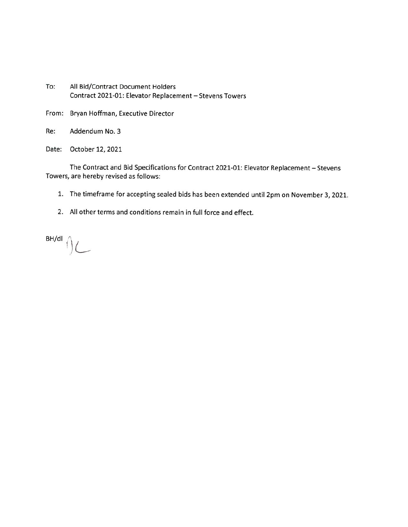- To: All Bid/Contract Document Holders Contract 2021-01: Elevator Replacement - Stevens Towers
- From: Bryan Hoffman, Executive Director
- Re: Addendum No. 3
- Date: October 12, 2021

The Contract and Bid Specifications for Contract 2021-01: Elevator Replacement - Stevens Towers, are hereby revised as follows:

- 1. The timeframe for accepting sealed bids has been extended until 2pm on November 3, 2021.
- 2. All other terms and conditions remain in full force and effect.

 $\bigcap_{\text{BH/dI}}\bigcup_{\text{L}}$